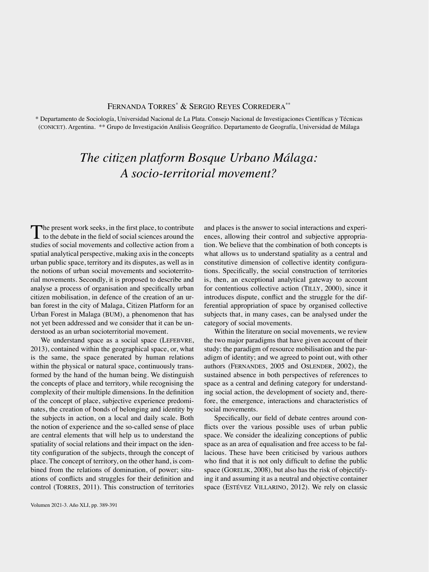## Fernanda Torres\* & Sergio Reyes Corredera\*\*

\* Departamento de Sociología, Universidad Nacional de La Plata. Consejo Nacional de Investigaciones Científicas y Técnicas (conicet). Argentina. \*\* Grupo de Investigación Análisis Geográfico. Departamento de Geografía, Universidad de Málaga

## *The citizen platform Bosque Urbano Málaga: A socio-territorial movement?*

The present work seeks, in the first place, to contribute to the debate in the field of social sciences around the studies of social movements and collective action from a spatial analytical perspective, making axis in the concepts urban public space, territory and its disputes, as well as in the notions of urban social movements and socioterritorial movements. Secondly, it is proposed to describe and analyse a process of organisation and specifically urban citizen mobilisation, in defence of the creation of an urban forest in the city of Malaga, Citizen Platform for an Urban Forest in Malaga (BUM), a phenomenon that has not yet been addressed and we consider that it can be understood as an urban socioterritorial movement.

We understand space as a social space (LEFEBVRE, 2013), contained within the geographical space, or, what is the same, the space generated by human relations within the physical or natural space, continuously transformed by the hand of the human being. We distinguish the concepts of place and territory, while recognising the complexity of their multiple dimensions. In the definition of the concept of place, subjective experience predominates, the creation of bonds of belonging and identity by the subjects in action, on a local and daily scale. Both the notion of experience and the so-called sense of place are central elements that will help us to understand the spatiality of social relations and their impact on the identity configuration of the subjects, through the concept of place. The concept of territory, on the other hand, is combined from the relations of domination, of power; situations of conflicts and struggles for their definition and control (TORRES, 2011). This construction of territories

Volumen 2021-3. Año XLI, pp. 389-391

and places is the answer to social interactions and experiences, allowing their control and subjective appropriation. We believe that the combination of both concepts is what allows us to understand spatiality as a central and constitutive dimension of collective identity configurations. Specifically, the social construction of territories is, then, an exceptional analytical gateway to account for contentious collective action (TILLY, 2000), since it introduces dispute, conflict and the struggle for the differential appropriation of space by organised collective subjects that, in many cases, can be analysed under the category of social movements.

Within the literature on social movements, we review the two major paradigms that have given account of their study: the paradigm of resource mobilisation and the paradigm of identity; and we agreed to point out, with other authors (Fernandes, 2005 and Oslender, 2002), the sustained absence in both perspectives of references to space as a central and defining category for understanding social action, the development of society and, therefore, the emergence, interactions and characteristics of social movements.

Specifically, our field of debate centres around conflicts over the various possible uses of urban public space. We consider the idealizing conceptions of public space as an area of equalisation and free access to be fallacious. These have been criticised by various authors who find that it is not only difficult to define the public space (GORELIK, 2008), but also has the risk of objectifying it and assuming it as a neutral and objective container space (ESTÉVEZ VILLARINO, 2012). We rely on classic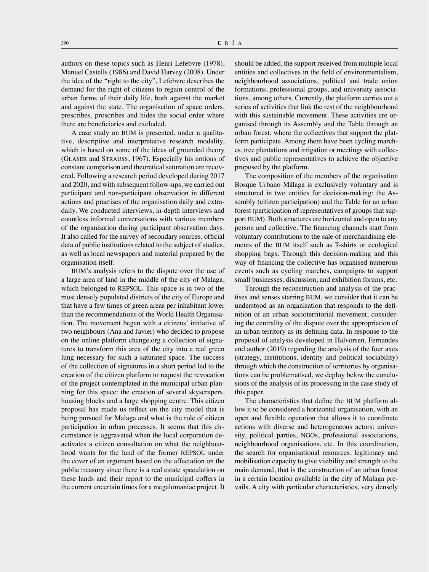authors on these topics such as Henri Lefebvre (1978), Manuel Castells (1986) and David Harvey (2008). Under the idea of the "right to the city", Lefebvre describes the demand for the right of citizens to regain control of the urban forms of their daily life, both against the market and against the state. The organisation of space orders, prescribes, proscribes and hides the social order where there are beneficiaries and excluded.

A case study on BUM is presented, under a qualitative, descriptive and interpretative research modality, which is based on some of the ideas of grounded theory (Glaser and Strauss, 1967). Especially his notions of constant comparison and theoretical saturation are recovered. Following a research period developed during 2017 and 2020, and with subsequent follow-ups, we carried out participant and non-participant observation in different actions and practises of the organisation daily and extradaily. We conducted interviews, in-depth interviews and countless informal conversations with various members of the organisation during participant observation days. It also called for the survey of secondary sources, official data of public institutions related to the subject of studies, as well as local newspapers and material prepared by the organisation itself.

BUM's analysis refers to the dispute over the use of a large area of land in the middle of the city of Malaga, which belonged to REPSOL. This space is in two of the most densely populated districts of the city of Europe and that have a few times of green areas per inhabitant lower than the recommendations of the World Health Organisation. The movement began with a citizens' initiative of two neighbours (Ana and Javier) who decided to propose on the online platform change.org a collection of signatures to transform this area of the city into a real green lung necessary for such a saturated space. The success of the collection of signatures in a short period led to the creation of the citizen platform to request the revocation of the project contemplated in the municipal urban planning for this space: the creation of several skyscrapers, housing blocks and a large shopping centre. This citizen proposal has made us reflect on the city model that is being pursued for Malaga and what is the role of citizen participation in urban processes. It seems that this circumstance is aggravated when the local corporation deactivates a citizen consultation on what the neighbourhood wants for the land of the former REPSOL under the cover of an argument based on the affectation on the public treasury since there is a real estate speculation on these lands and their report to the municipal coffers in the current uncertain times for a megalomaniac project. It

should be added, the support received from multiple local entities and collectives in the field of environmentalism, neighbourhood associations, political and trade union formations, professional groups, and university associations, among others. Currently, the platform carries out a series of activities that link the rest of the neighbourhood with this sustainable movement. These activities are organised through its Assembly and the Table through an urban forest, where the collectives that support the platform participate. Among them have been cycling marches, tree plantations and irrigation or meetings with collectives and public representatives to achieve the objective proposed by the platform.

The composition of the members of the organisation Bosque Urbano Málaga is exclusively voluntary and is structured in two entities for decision-making: the Assembly (citizen participation) and the Table for an urban forest (participation of representatives of groups that support BUM). Both structures are horizontal and open to any person and collective. The financing channels start from voluntary contributions to the sale of merchandising elements of the BUM itself such as T-shirts or ecological shopping bags. Through this decision-making and this way of financing the collective has organised numerous events such as cycling marches, campaigns to support small businesses, discussion, and exhibition forums, etc.

Through the reconstruction and analysis of the practises and senses starring BUM, we consider that it can be understood as an organisation that responds to the definition of an urban socioterritorial movement, considering the centrality of the dispute over the appropriation of an urban territory as its defining data. In response to the proposal of analysis developed in Halvorsen, Fernandes and author (2019) regarding the analysis of the four axes (strategy, institutions, identity and political sociability) through which the construction of territories by organisations can be problematised, we deploy below the conclusions of the analysis of its processing in the case study of this paper.

The characteristics that define the BUM platform allow it to be considered a horizontal organisation, with an open and flexible operation that allows it to coordinate actions with diverse and heterogeneous actors: university, political parties, NGOs, professional associations, neighbourhood organisations, etc. In this coordination, the search for organisational resources, legitimacy and mobilisation capacity to give visibility and strength to the main demand, that is the construction of an urban forest in a certain location available in the city of Malaga prevails. A city with particular characteristics, very densely